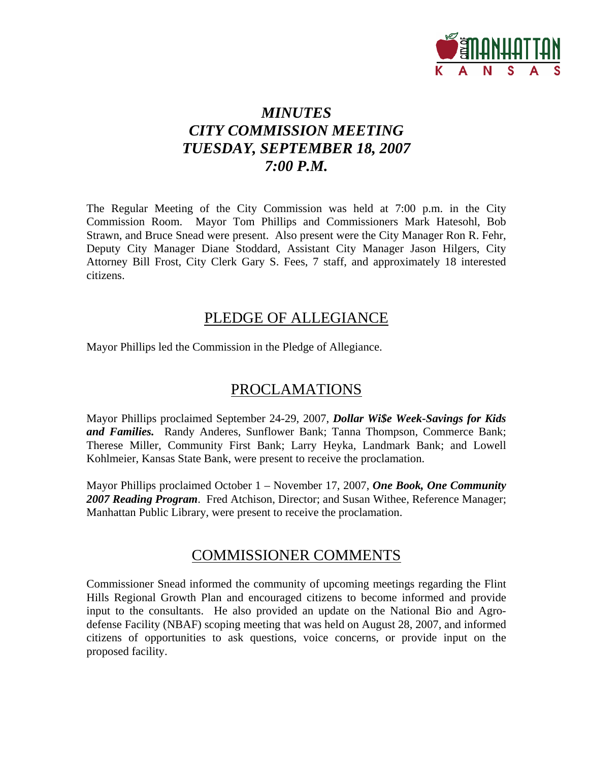

# *MINUTES CITY COMMISSION MEETING TUESDAY, SEPTEMBER 18, 2007 7:00 P.M.*

The Regular Meeting of the City Commission was held at 7:00 p.m. in the City Commission Room. Mayor Tom Phillips and Commissioners Mark Hatesohl, Bob Strawn, and Bruce Snead were present. Also present were the City Manager Ron R. Fehr, Deputy City Manager Diane Stoddard, Assistant City Manager Jason Hilgers, City Attorney Bill Frost, City Clerk Gary S. Fees, 7 staff, and approximately 18 interested citizens.

# PLEDGE OF ALLEGIANCE

Mayor Phillips led the Commission in the Pledge of Allegiance.

# PROCLAMATIONS

Mayor Phillips proclaimed September 24-29, 2007, *Dollar Wi\$e Week-Savings for Kids and Families.* Randy Anderes, Sunflower Bank; Tanna Thompson, Commerce Bank; Therese Miller, Community First Bank; Larry Heyka, Landmark Bank; and Lowell Kohlmeier, Kansas State Bank, were present to receive the proclamation.

Mayor Phillips proclaimed October 1 – November 17, 2007, *One Book, One Community 2007 Reading Program*. Fred Atchison, Director; and Susan Withee, Reference Manager; Manhattan Public Library, were present to receive the proclamation.

## COMMISSIONER COMMENTS

Commissioner Snead informed the community of upcoming meetings regarding the Flint Hills Regional Growth Plan and encouraged citizens to become informed and provide input to the consultants. He also provided an update on the National Bio and Agrodefense Facility (NBAF) scoping meeting that was held on August 28, 2007, and informed citizens of opportunities to ask questions, voice concerns, or provide input on the proposed facility.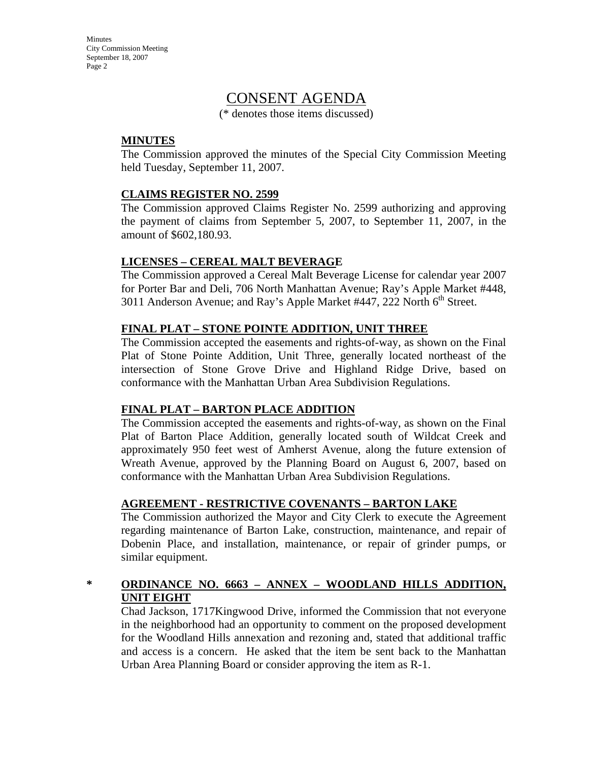# CONSENT AGENDA

(\* denotes those items discussed)

### **MINUTES**

The Commission approved the minutes of the Special City Commission Meeting held Tuesday, September 11, 2007.

#### **CLAIMS REGISTER NO. 2599**

The Commission approved Claims Register No. 2599 authorizing and approving the payment of claims from September 5, 2007, to September 11, 2007, in the amount of \$602,180.93.

#### **LICENSES – CEREAL MALT BEVERAGE**

The Commission approved a Cereal Malt Beverage License for calendar year 2007 for Porter Bar and Deli, 706 North Manhattan Avenue; Ray's Apple Market #448, 3011 Anderson Avenue; and Ray's Apple Market #447, 222 North 6<sup>th</sup> Street.

#### **FINAL PLAT – STONE POINTE ADDITION, UNIT THREE**

The Commission accepted the easements and rights-of-way, as shown on the Final Plat of Stone Pointe Addition, Unit Three, generally located northeast of the intersection of Stone Grove Drive and Highland Ridge Drive, based on conformance with the Manhattan Urban Area Subdivision Regulations.

### **FINAL PLAT – BARTON PLACE ADDITION**

The Commission accepted the easements and rights-of-way, as shown on the Final Plat of Barton Place Addition, generally located south of Wildcat Creek and approximately 950 feet west of Amherst Avenue, along the future extension of Wreath Avenue, approved by the Planning Board on August 6, 2007, based on conformance with the Manhattan Urban Area Subdivision Regulations.

### **AGREEMENT - RESTRICTIVE COVENANTS – BARTON LAKE**

The Commission authorized the Mayor and City Clerk to execute the Agreement regarding maintenance of Barton Lake, construction, maintenance, and repair of Dobenin Place, and installation, maintenance, or repair of grinder pumps, or similar equipment.

### **\* ORDINANCE NO. 6663 – ANNEX – WOODLAND HILLS ADDITION, UNIT EIGHT**

Chad Jackson, 1717Kingwood Drive, informed the Commission that not everyone in the neighborhood had an opportunity to comment on the proposed development for the Woodland Hills annexation and rezoning and, stated that additional traffic and access is a concern. He asked that the item be sent back to the Manhattan Urban Area Planning Board or consider approving the item as R-1.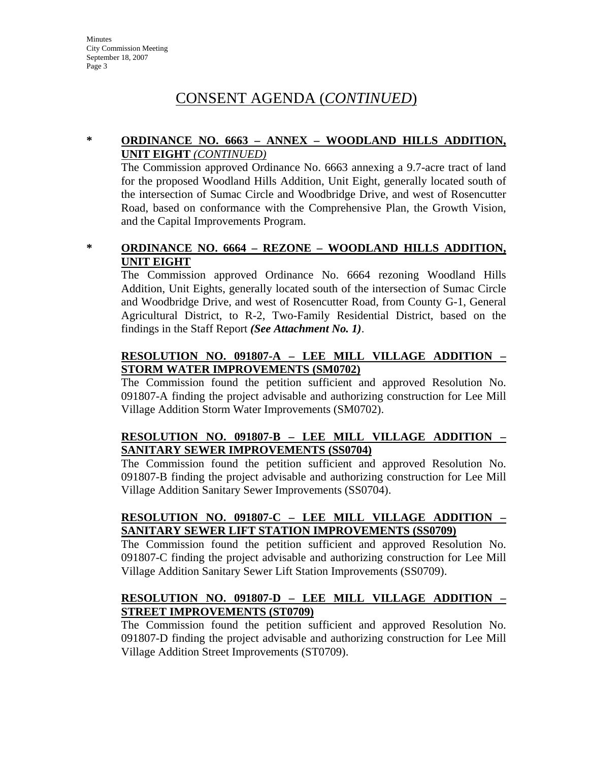# CONSENT AGENDA (*CONTINUED*)

### **\* ORDINANCE NO. 6663 – ANNEX – WOODLAND HILLS ADDITION, UNIT EIGHT** *(CONTINUED)*

The Commission approved Ordinance No. 6663 annexing a 9.7-acre tract of land for the proposed Woodland Hills Addition, Unit Eight, generally located south of the intersection of Sumac Circle and Woodbridge Drive, and west of Rosencutter Road, based on conformance with the Comprehensive Plan, the Growth Vision, and the Capital Improvements Program.

**\* ORDINANCE NO. 6664 – REZONE – WOODLAND HILLS ADDITION, UNIT EIGHT**

The Commission approved Ordinance No. 6664 rezoning Woodland Hills Addition, Unit Eights, generally located south of the intersection of Sumac Circle and Woodbridge Drive, and west of Rosencutter Road, from County G-1, General Agricultural District, to R-2, Two-Family Residential District, based on the findings in the Staff Report *(See Attachment No. 1)*.

### **RESOLUTION NO. 091807-A – LEE MILL VILLAGE ADDITION – STORM WATER IMPROVEMENTS (SM0702)**

The Commission found the petition sufficient and approved Resolution No. 091807-A finding the project advisable and authorizing construction for Lee Mill Village Addition Storm Water Improvements (SM0702).

### **RESOLUTION NO. 091807-B – LEE MILL VILLAGE ADDITION – SANITARY SEWER IMPROVEMENTS (SS0704)**

The Commission found the petition sufficient and approved Resolution No. 091807-B finding the project advisable and authorizing construction for Lee Mill Village Addition Sanitary Sewer Improvements (SS0704).

### **RESOLUTION NO. 091807-C – LEE MILL VILLAGE ADDITION – SANITARY SEWER LIFT STATION IMPROVEMENTS (SS0709)**

The Commission found the petition sufficient and approved Resolution No. 091807-C finding the project advisable and authorizing construction for Lee Mill Village Addition Sanitary Sewer Lift Station Improvements (SS0709).

### **RESOLUTION NO. 091807-D – LEE MILL VILLAGE ADDITION – STREET IMPROVEMENTS (ST0709)**

The Commission found the petition sufficient and approved Resolution No. 091807-D finding the project advisable and authorizing construction for Lee Mill Village Addition Street Improvements (ST0709).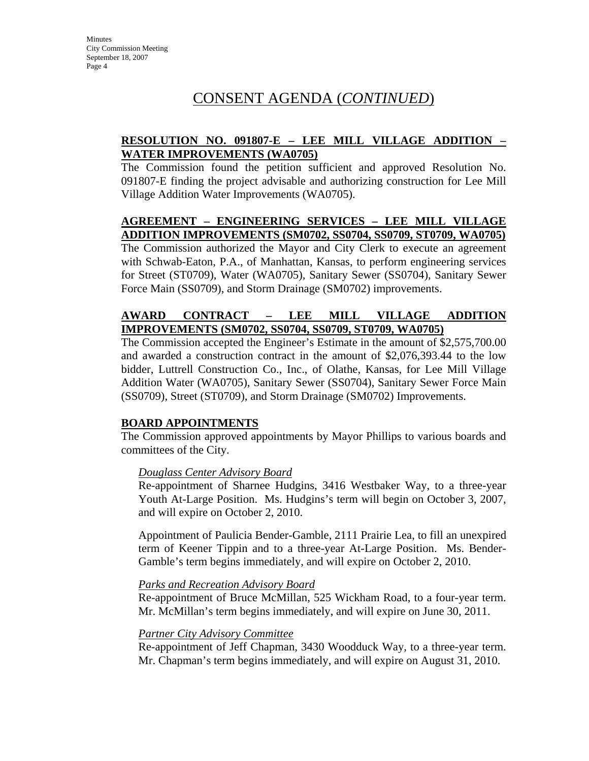# CONSENT AGENDA (*CONTINUED*)

### **RESOLUTION NO. 091807-E – LEE MILL VILLAGE ADDITION – WATER IMPROVEMENTS (WA0705)**

The Commission found the petition sufficient and approved Resolution No. 091807-E finding the project advisable and authorizing construction for Lee Mill Village Addition Water Improvements (WA0705).

### **AGREEMENT – ENGINEERING SERVICES – LEE MILL VILLAGE ADDITION IMPROVEMENTS (SM0702, SS0704, SS0709, ST0709, WA0705)**

The Commission authorized the Mayor and City Clerk to execute an agreement with Schwab-Eaton, P.A., of Manhattan, Kansas, to perform engineering services for Street (ST0709), Water (WA0705), Sanitary Sewer (SS0704), Sanitary Sewer Force Main (SS0709), and Storm Drainage (SM0702) improvements.

### **AWARD CONTRACT – LEE MILL VILLAGE ADDITION IMPROVEMENTS (SM0702, SS0704, SS0709, ST0709, WA0705)**

The Commission accepted the Engineer's Estimate in the amount of \$2,575,700.00 and awarded a construction contract in the amount of \$2,076,393.44 to the low bidder, Luttrell Construction Co., Inc., of Olathe, Kansas, for Lee Mill Village Addition Water (WA0705), Sanitary Sewer (SS0704), Sanitary Sewer Force Main (SS0709), Street (ST0709), and Storm Drainage (SM0702) Improvements.

### **BOARD APPOINTMENTS**

The Commission approved appointments by Mayor Phillips to various boards and committees of the City.

#### *Douglass Center Advisory Board*

Re-appointment of Sharnee Hudgins, 3416 Westbaker Way, to a three-year Youth At-Large Position. Ms. Hudgins's term will begin on October 3, 2007, and will expire on October 2, 2010.

Appointment of Paulicia Bender-Gamble, 2111 Prairie Lea, to fill an unexpired term of Keener Tippin and to a three-year At-Large Position. Ms. Bender-Gamble's term begins immediately, and will expire on October 2, 2010.

#### *Parks and Recreation Advisory Board*

Re-appointment of Bruce McMillan, 525 Wickham Road, to a four-year term. Mr. McMillan's term begins immediately, and will expire on June 30, 2011.

#### *Partner City Advisory Committee*

Re-appointment of Jeff Chapman, 3430 Woodduck Way, to a three-year term. Mr. Chapman's term begins immediately, and will expire on August 31, 2010.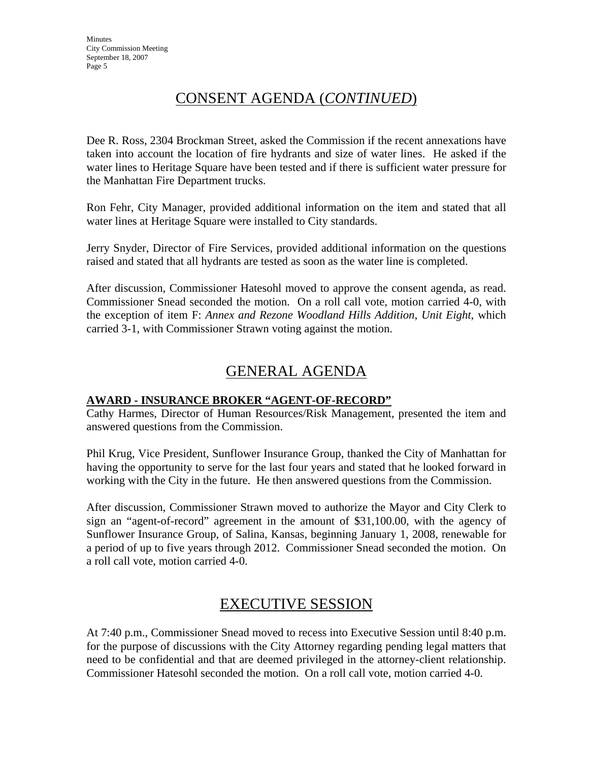# CONSENT AGENDA (*CONTINUED*)

Dee R. Ross, 2304 Brockman Street, asked the Commission if the recent annexations have taken into account the location of fire hydrants and size of water lines. He asked if the water lines to Heritage Square have been tested and if there is sufficient water pressure for the Manhattan Fire Department trucks.

Ron Fehr, City Manager, provided additional information on the item and stated that all water lines at Heritage Square were installed to City standards.

Jerry Snyder, Director of Fire Services, provided additional information on the questions raised and stated that all hydrants are tested as soon as the water line is completed.

After discussion, Commissioner Hatesohl moved to approve the consent agenda, as read. Commissioner Snead seconded the motion. On a roll call vote, motion carried 4-0, with the exception of item F: *Annex and Rezone Woodland Hills Addition, Unit Eight*, which carried 3-1, with Commissioner Strawn voting against the motion.

# GENERAL AGENDA

### **AWARD - INSURANCE BROKER "AGENT-OF-RECORD"**

Cathy Harmes, Director of Human Resources/Risk Management, presented the item and answered questions from the Commission.

Phil Krug, Vice President, Sunflower Insurance Group, thanked the City of Manhattan for having the opportunity to serve for the last four years and stated that he looked forward in working with the City in the future. He then answered questions from the Commission.

After discussion, Commissioner Strawn moved to authorize the Mayor and City Clerk to sign an "agent-of-record" agreement in the amount of \$31,100.00, with the agency of Sunflower Insurance Group, of Salina, Kansas, beginning January 1, 2008, renewable for a period of up to five years through 2012. Commissioner Snead seconded the motion. On a roll call vote, motion carried 4-0.

# EXECUTIVE SESSION

At 7:40 p.m., Commissioner Snead moved to recess into Executive Session until 8:40 p.m. for the purpose of discussions with the City Attorney regarding pending legal matters that need to be confidential and that are deemed privileged in the attorney-client relationship. Commissioner Hatesohl seconded the motion. On a roll call vote, motion carried 4-0.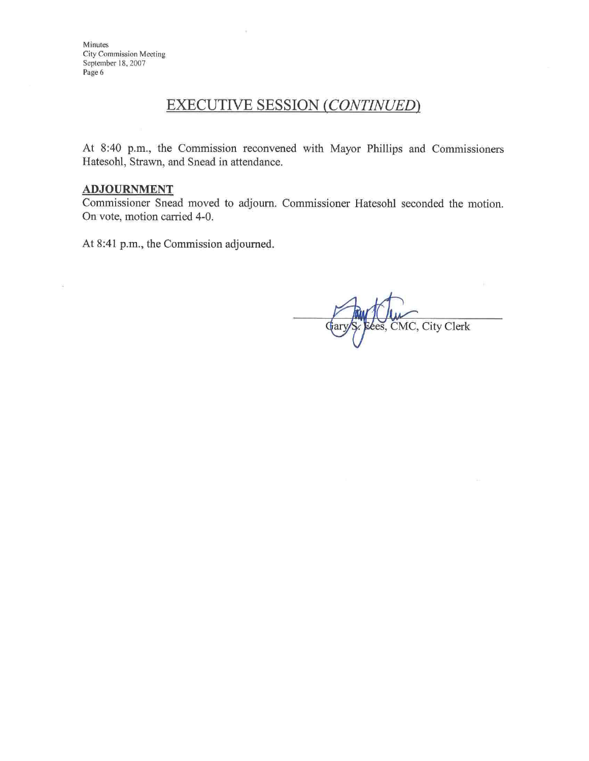# **EXECUTIVE SESSION (CONTINUED)**

At 8:40 p.m., the Commission reconvened with Mayor Phillips and Commissioners Hatesohl, Strawn, and Snead in attendance.

#### **ADJOURNMENT**

Commissioner Snead moved to adjourn. Commissioner Hatesohl seconded the motion. On vote, motion carried 4-0.

At 8:41 p.m., the Commission adjourned.

es, CMC, City Clerk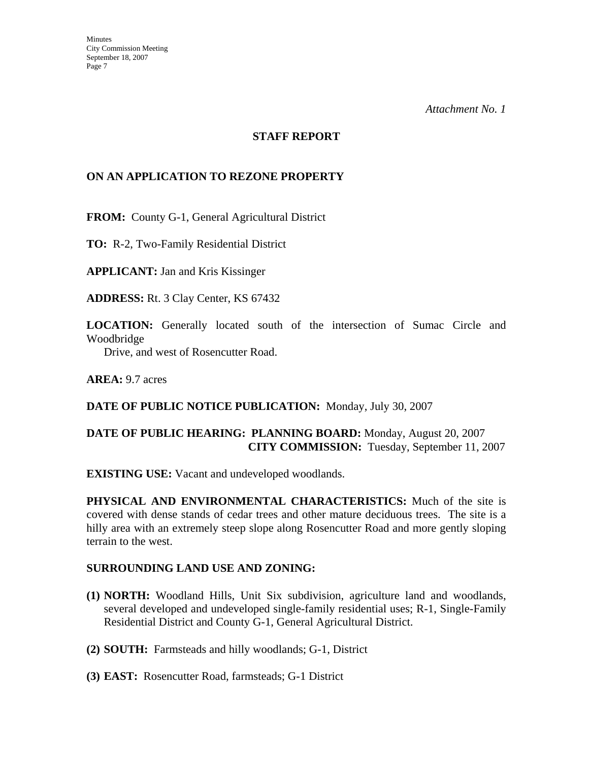*Attachment No. 1*

#### **STAFF REPORT**

#### **ON AN APPLICATION TO REZONE PROPERTY**

**FROM:** County G-1, General Agricultural District

**TO:** R-2, Two-Family Residential District

**APPLICANT:** Jan and Kris Kissinger

**ADDRESS:** Rt. 3 Clay Center, KS 67432

**LOCATION:** Generally located south of the intersection of Sumac Circle and Woodbridge

Drive, and west of Rosencutter Road.

**AREA:** 9.7 acres

#### **DATE OF PUBLIC NOTICE PUBLICATION:** Monday, July 30, 2007

### **DATE OF PUBLIC HEARING: PLANNING BOARD:** Monday, August 20, 2007 **CITY COMMISSION:** Tuesday, September 11, 2007

**EXISTING USE:** Vacant and undeveloped woodlands.

**PHYSICAL AND ENVIRONMENTAL CHARACTERISTICS:** Much of the site is covered with dense stands of cedar trees and other mature deciduous trees. The site is a hilly area with an extremely steep slope along Rosencutter Road and more gently sloping terrain to the west.

#### **SURROUNDING LAND USE AND ZONING:**

- **(1) NORTH:** Woodland Hills, Unit Six subdivision, agriculture land and woodlands, several developed and undeveloped single-family residential uses; R-1, Single-Family Residential District and County G-1, General Agricultural District.
- **(2) SOUTH:** Farmsteads and hilly woodlands; G-1, District
- **(3) EAST:** Rosencutter Road, farmsteads; G-1 District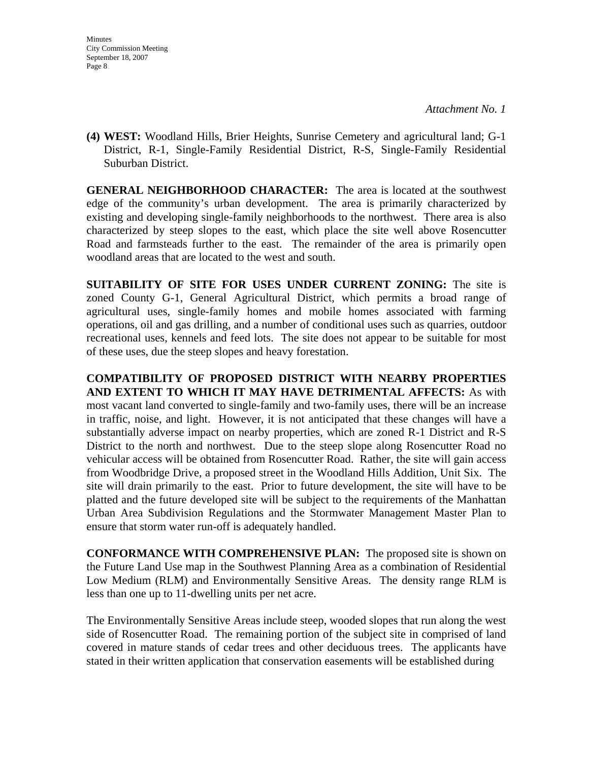*Attachment No. 1*

**(4) WEST:** Woodland Hills, Brier Heights, Sunrise Cemetery and agricultural land; G-1 District, R-1, Single-Family Residential District, R-S, Single-Family Residential Suburban District.

**GENERAL NEIGHBORHOOD CHARACTER:** The area is located at the southwest edge of the community's urban development. The area is primarily characterized by existing and developing single-family neighborhoods to the northwest. There area is also characterized by steep slopes to the east, which place the site well above Rosencutter Road and farmsteads further to the east. The remainder of the area is primarily open woodland areas that are located to the west and south.

**SUITABILITY OF SITE FOR USES UNDER CURRENT ZONING:** The site is zoned County G-1, General Agricultural District, which permits a broad range of agricultural uses, single-family homes and mobile homes associated with farming operations, oil and gas drilling, and a number of conditional uses such as quarries, outdoor recreational uses, kennels and feed lots. The site does not appear to be suitable for most of these uses, due the steep slopes and heavy forestation.

**COMPATIBILITY OF PROPOSED DISTRICT WITH NEARBY PROPERTIES AND EXTENT TO WHICH IT MAY HAVE DETRIMENTAL AFFECTS:** As with most vacant land converted to single-family and two-family uses, there will be an increase in traffic, noise, and light. However, it is not anticipated that these changes will have a substantially adverse impact on nearby properties, which are zoned R-1 District and R-S District to the north and northwest. Due to the steep slope along Rosencutter Road no vehicular access will be obtained from Rosencutter Road. Rather, the site will gain access from Woodbridge Drive, a proposed street in the Woodland Hills Addition, Unit Six. The site will drain primarily to the east. Prior to future development, the site will have to be platted and the future developed site will be subject to the requirements of the Manhattan Urban Area Subdivision Regulations and the Stormwater Management Master Plan to ensure that storm water run-off is adequately handled.

**CONFORMANCE WITH COMPREHENSIVE PLAN:** The proposed site is shown on the Future Land Use map in the Southwest Planning Area as a combination of Residential Low Medium (RLM) and Environmentally Sensitive Areas. The density range RLM is less than one up to 11-dwelling units per net acre.

The Environmentally Sensitive Areas include steep, wooded slopes that run along the west side of Rosencutter Road. The remaining portion of the subject site in comprised of land covered in mature stands of cedar trees and other deciduous trees. The applicants have stated in their written application that conservation easements will be established during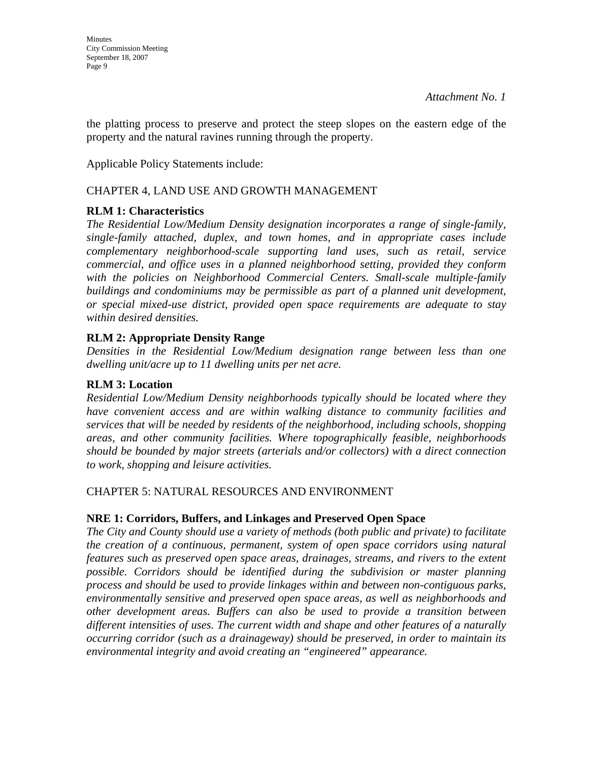the platting process to preserve and protect the steep slopes on the eastern edge of the property and the natural ravines running through the property.

Applicable Policy Statements include:

### CHAPTER 4, LAND USE AND GROWTH MANAGEMENT

## **RLM 1: Characteristics**

*The Residential Low/Medium Density designation incorporates a range of single-family, single-family attached, duplex, and town homes, and in appropriate cases include complementary neighborhood-scale supporting land uses, such as retail, service commercial, and office uses in a planned neighborhood setting, provided they conform*  with the policies on Neighborhood Commercial Centers. Small-scale multiple-family *buildings and condominiums may be permissible as part of a planned unit development, or special mixed-use district, provided open space requirements are adequate to stay within desired densities.* 

## **RLM 2: Appropriate Density Range**

*Densities in the Residential Low/Medium designation range between less than one dwelling unit/acre up to 11 dwelling units per net acre.* 

### **RLM 3: Location**

*Residential Low/Medium Density neighborhoods typically should be located where they have convenient access and are within walking distance to community facilities and services that will be needed by residents of the neighborhood, including schools, shopping areas, and other community facilities. Where topographically feasible, neighborhoods should be bounded by major streets (arterials and/or collectors) with a direct connection to work, shopping and leisure activities.* 

### CHAPTER 5: NATURAL RESOURCES AND ENVIRONMENT

### **NRE 1: Corridors, Buffers, and Linkages and Preserved Open Space**

*The City and County should use a variety of methods (both public and private) to facilitate the creation of a continuous, permanent, system of open space corridors using natural features such as preserved open space areas, drainages, streams, and rivers to the extent possible. Corridors should be identified during the subdivision or master planning process and should be used to provide linkages within and between non-contiguous parks, environmentally sensitive and preserved open space areas, as well as neighborhoods and other development areas. Buffers can also be used to provide a transition between different intensities of uses. The current width and shape and other features of a naturally occurring corridor (such as a drainageway) should be preserved, in order to maintain its environmental integrity and avoid creating an "engineered" appearance.*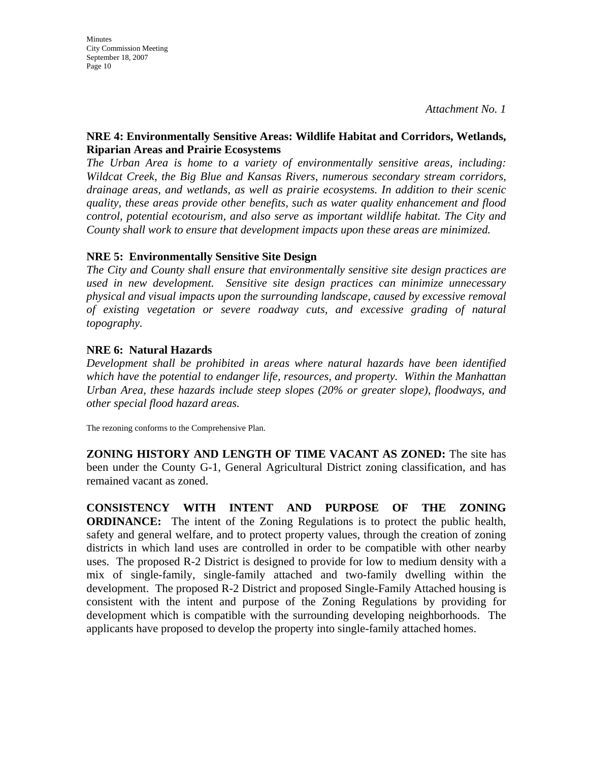*Attachment No. 1*

### **NRE 4: Environmentally Sensitive Areas: Wildlife Habitat and Corridors, Wetlands, Riparian Areas and Prairie Ecosystems**

*The Urban Area is home to a variety of environmentally sensitive areas, including: Wildcat Creek, the Big Blue and Kansas Rivers, numerous secondary stream corridors, drainage areas, and wetlands, as well as prairie ecosystems. In addition to their scenic quality, these areas provide other benefits, such as water quality enhancement and flood control, potential ecotourism, and also serve as important wildlife habitat. The City and County shall work to ensure that development impacts upon these areas are minimized.* 

### **NRE 5: Environmentally Sensitive Site Design**

*The City and County shall ensure that environmentally sensitive site design practices are used in new development. Sensitive site design practices can minimize unnecessary physical and visual impacts upon the surrounding landscape, caused by excessive removal of existing vegetation or severe roadway cuts, and excessive grading of natural topography.* 

### **NRE 6: Natural Hazards**

*Development shall be prohibited in areas where natural hazards have been identified which have the potential to endanger life, resources, and property. Within the Manhattan Urban Area, these hazards include steep slopes (20% or greater slope), floodways, and other special flood hazard areas.* 

The rezoning conforms to the Comprehensive Plan.

**ZONING HISTORY AND LENGTH OF TIME VACANT AS ZONED:** The site has been under the County G-1, General Agricultural District zoning classification, and has remained vacant as zoned.

**CONSISTENCY WITH INTENT AND PURPOSE OF THE ZONING ORDINANCE:** The intent of the Zoning Regulations is to protect the public health, safety and general welfare, and to protect property values, through the creation of zoning districts in which land uses are controlled in order to be compatible with other nearby uses. The proposed R-2 District is designed to provide for low to medium density with a mix of single-family, single-family attached and two-family dwelling within the development. The proposed R-2 District and proposed Single-Family Attached housing is consistent with the intent and purpose of the Zoning Regulations by providing for development which is compatible with the surrounding developing neighborhoods. The applicants have proposed to develop the property into single-family attached homes.